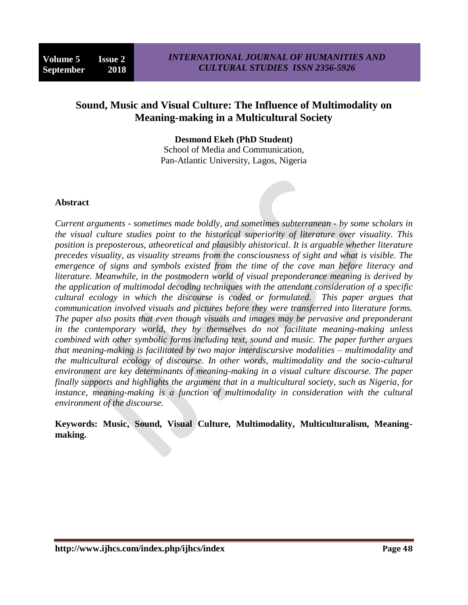# **Sound, Music and Visual Culture: The Influence of Multimodality on Meaning-making in a Multicultural Society**

**Desmond Ekeh (PhD Student)**

School of Media and Communication, Pan-Atlantic University, Lagos, Nigeria

#### **Abstract**

*Current arguments - sometimes made boldly, and sometimes subterranean - by some scholars in the visual culture studies point to the historical superiority of literature over visuality. This position is preposterous, atheoretical and plausibly ahistorical. It is arguable whether literature precedes visuality, as visuality streams from the consciousness of sight and what is visible. The emergence of signs and symbols existed from the time of the cave man before literacy and literature. Meanwhile, in the postmodern world of visual preponderance meaning is derived by the application of multimodal decoding techniques with the attendant consideration of a specific cultural ecology in which the discourse is coded or formulated. This paper argues that communication involved visuals and pictures before they were transferred into literature forms. The paper also posits that even though visuals and images may be pervasive and preponderant in the contemporary world, they by themselves do not facilitate meaning-making unless combined with other symbolic forms including text, sound and music. The paper further argues that meaning-making is facilitated by two major interdiscursive modalities – multimodality and the multicultural ecology of discourse. In other words, multimodality and the socio-cultural environment are key determinants of meaning-making in a visual culture discourse. The paper finally supports and highlights the argument that in a multicultural society, such as Nigeria, for instance, meaning-making is a function of multimodality in consideration with the cultural environment of the discourse.*

**Keywords: Music, Sound, Visual Culture, Multimodality, Multiculturalism, Meaningmaking.**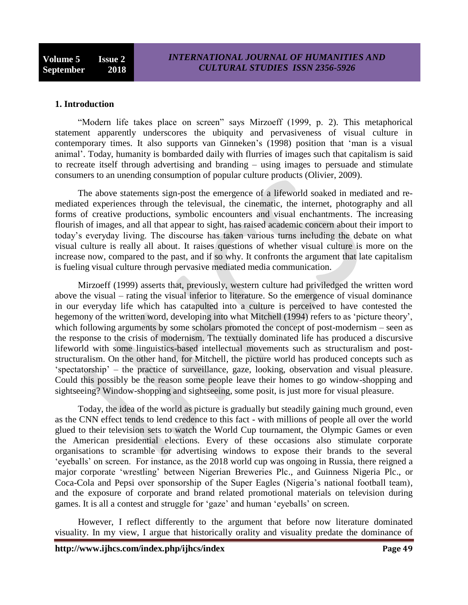#### **1. Introduction**

 "Modern life takes place on screen" says Mirzoeff (1999, p. 2). This metaphorical statement apparently underscores the ubiquity and pervasiveness of visual culture in contemporary times. It also supports van Ginneken"s (1998) position that "man is a visual animal". Today, humanity is bombarded daily with flurries of images such that capitalism is said to recreate itself through advertising and branding – using images to persuade and stimulate consumers to an unending consumption of popular culture products (Olivier, 2009).

 The above statements sign-post the emergence of a lifeworld soaked in mediated and remediated experiences through the televisual, the cinematic, the internet, photography and all forms of creative productions, symbolic encounters and visual enchantments. The increasing flourish of images, and all that appear to sight, has raised academic concern about their import to today"s everyday living. The discourse has taken various turns including the debate on what visual culture is really all about. It raises questions of whether visual culture is more on the increase now, compared to the past, and if so why. It confronts the argument that late capitalism is fueling visual culture through pervasive mediated media communication.

 Mirzoeff (1999) asserts that, previously, western culture had priviledged the written word above the visual – rating the visual inferior to literature. So the emergence of visual dominance in our everyday life which has catapulted into a culture is perceived to have contested the hegemony of the written word, developing into what Mitchell (1994) refers to as 'picture theory', which following arguments by some scholars promoted the concept of post-modernism – seen as the response to the crisis of modernism. The textually dominated life has produced a discursive lifeworld with some linguistics-based intellectual movements such as structuralism and poststructuralism. On the other hand, for Mitchell, the picture world has produced concepts such as "spectatorship" – the practice of surveillance, gaze, looking, observation and visual pleasure. Could this possibly be the reason some people leave their homes to go window-shopping and sightseeing? Window-shopping and sightseeing, some posit, is just more for visual pleasure.

 Today, the idea of the world as picture is gradually but steadily gaining much ground, even as the CNN effect tends to lend credence to this fact - with millions of people all over the world glued to their television sets to watch the World Cup tournament, the Olympic Games or even the American presidential elections. Every of these occasions also stimulate corporate organisations to scramble for advertising windows to expose their brands to the several "eyeballs" on screen. For instance, as the 2018 world cup was ongoing in Russia, there reigned a major corporate "wrestling" between Nigerian Breweries Plc., and Guinness Nigeria Plc., or Coca-Cola and Pepsi over sponsorship of the Super Eagles (Nigeria"s national football team), and the exposure of corporate and brand related promotional materials on television during games. It is all a contest and struggle for "gaze" and human "eyeballs" on screen.

 However, I reflect differently to the argument that before now literature dominated visuality. In my view, I argue that historically orality and visuality predate the dominance of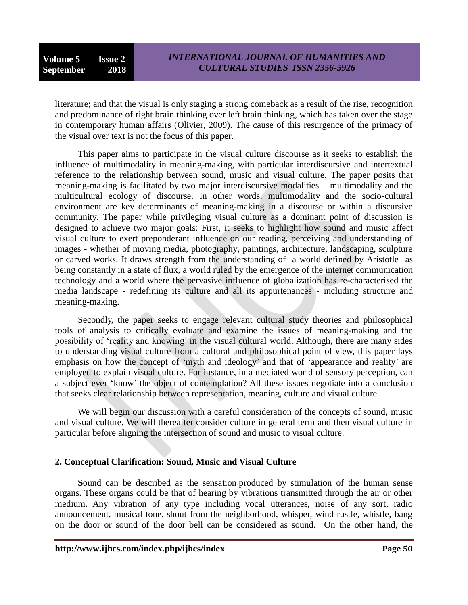literature; and that the visual is only staging a strong comeback as a result of the rise, recognition and predominance of right brain thinking over left brain thinking, which has taken over the stage in contemporary human affairs (Olivier, 2009). The cause of this resurgence of the primacy of the visual over text is not the focus of this paper.

 This paper aims to participate in the visual culture discourse as it seeks to establish the influence of multimodality in meaning-making, with particular interdiscursive and intertextual reference to the relationship between sound, music and visual culture. The paper posits that meaning-making is facilitated by two major interdiscursive modalities – multimodality and the multicultural ecology of discourse. In other words, multimodality and the socio-cultural environment are key determinants of meaning-making in a discourse or within a discursive community. The paper while privileging visual culture as a dominant point of discussion is designed to achieve two major goals: First, it seeks to highlight how sound and music affect visual culture to exert preponderant influence on our reading, perceiving and understanding of images - whether of moving media, photography, paintings, architecture, landscaping, sculpture or carved works. It draws strength from the understanding of a world defined by Aristotle as being constantly in a state of flux, a world ruled by the emergence of the internet communication technology and a world where the pervasive influence of globalization has re-characterised the media landscape - redefining its culture and all its appurtenances - including structure and meaning-making.

 Secondly, the paper seeks to engage relevant cultural study theories and philosophical tools of analysis to critically evaluate and examine the issues of meaning-making and the possibility of "reality and knowing" in the visual cultural world. Although, there are many sides to understanding visual culture from a cultural and philosophical point of view, this paper lays emphasis on how the concept of 'myth and ideology' and that of 'appearance and reality' are employed to explain visual culture. For instance, in a mediated world of sensory perception, can a subject ever "know" the object of contemplation? All these issues negotiate into a conclusion that seeks clear relationship between representation, meaning, culture and visual culture.

 We will begin our discussion with a careful consideration of the concepts of sound, music and visual culture. We will thereafter consider culture in general term and then visual culture in particular before aligning the intersection of sound and music to visual culture.

# **2. Conceptual Clarification: Sound, Music and Visual Culture**

 **S**ound can be described as the sensation produced by stimulation of the human sense organs. These organs could be that of hearing by vibrations transmitted through the air or other medium. Any vibration of any type including vocal utterances, noise of any sort, radio announcement, musical tone, shout from the neighborhood, whisper, wind rustle, whistle, bang on the door or sound of the door bell can be considered as sound. On the other hand, the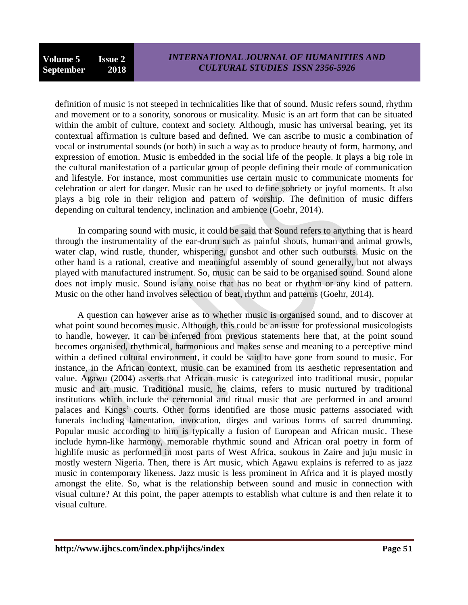definition of music is not steeped in technicalities like that of sound. Music refers sound, rhythm and movement or to a sonority, sonorous or musicality. Music is an art form that can be situated within the ambit of culture, context and society. Although, music has universal bearing, yet its contextual affirmation is culture based and defined. We can ascribe to music a combination of vocal or instrumental sounds (or both) in such a way as to produce beauty of form, harmony, and expression of emotion. Music is embedded in the social life of the people. It plays a big role in the cultural manifestation of a particular group of people defining their mode of communication and lifestyle. For instance, most communities use certain music to communicate moments for celebration or alert for danger. Music can be used to define sobriety or joyful moments. It also plays a big role in their religion and pattern of worship. The definition of music differs depending on cultural tendency, inclination and ambience (Goehr, 2014).

 In comparing sound with music, it could be said that Sound refers to anything that is heard through the instrumentality of the ear-drum such as painful shouts, human and animal growls, water clap, wind rustle, thunder, whispering, gunshot and other such outbursts. Music on the other hand is a rational, creative and meaningful assembly of sound generally, but not always played with manufactured instrument. So, music can be said to be organised sound. Sound alone does not imply music. Sound is any noise that has no beat or rhythm or any kind of pattern. Music on the other hand involves selection of beat, rhythm and patterns (Goehr, 2014).

 A question can however arise as to whether music is organised sound, and to discover at what point sound becomes music. Although, this could be an issue for professional musicologists to handle, however, it can be inferred from previous statements here that, at the point sound becomes organised, rhythmical, harmonious and makes sense and meaning to a perceptive mind within a defined cultural environment, it could be said to have gone from sound to music. For instance, in the African context, music can be examined from its aesthetic representation and value. Agawu (2004) asserts that African music is categorized into traditional music, popular music and art music. Traditional music, he claims, refers to music nurtured by traditional institutions which include the ceremonial and ritual music that are performed in and around palaces and Kings" courts. Other forms identified are those music patterns associated with funerals including lamentation, invocation, dirges and various forms of sacred drumming. Popular music according to him is typically a fusion of European and African music. These include hymn-like harmony, memorable rhythmic sound and African oral poetry in form of highlife music as performed in most parts of West Africa, soukous in Zaire and juju music in mostly western Nigeria. Then, there is Art music, which Agawu explains is referred to as jazz music in contemporary likeness. Jazz music is less prominent in Africa and it is played mostly amongst the elite. So, what is the relationship between sound and music in connection with visual culture? At this point, the paper attempts to establish what culture is and then relate it to visual culture.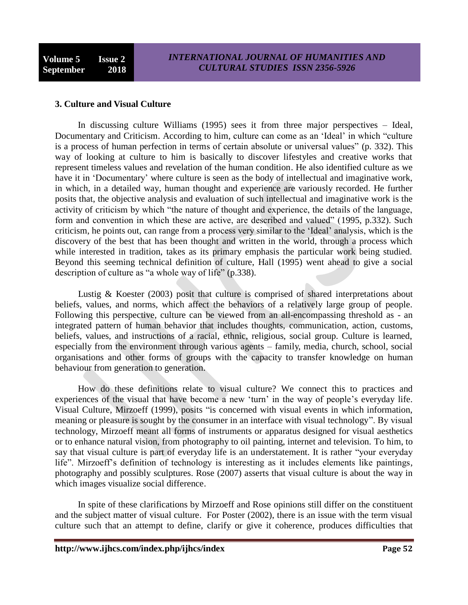#### **3. Culture and Visual Culture**

 In discussing culture Williams (1995) sees it from three major perspectives – Ideal, Documentary and Criticism. According to him, culture can come as an "Ideal" in which "culture is a process of human perfection in terms of certain absolute or universal values" (p. 332). This way of looking at culture to him is basically to discover lifestyles and creative works that represent timeless values and revelation of the human condition. He also identified culture as we have it in 'Documentary' where culture is seen as the body of intellectual and imaginative work, in which, in a detailed way, human thought and experience are variously recorded. He further posits that, the objective analysis and evaluation of such intellectual and imaginative work is the activity of criticism by which "the nature of thought and experience, the details of the language, form and convention in which these are active, are described and valued" (1995, p.332). Such criticism, he points out, can range from a process very similar to the "Ideal" analysis, which is the discovery of the best that has been thought and written in the world, through a process which while interested in tradition, takes as its primary emphasis the particular work being studied. Beyond this seeming technical definition of culture, Hall (1995) went ahead to give a social description of culture as "a whole way of life" (p.338).

Lustig  $& Koester (2003)$  posit that culture is comprised of shared interpretations about beliefs, values, and norms, which affect the behaviors of a relatively large group of people. Following this perspective, culture can be viewed from an all-encompassing threshold as - an integrated pattern of human behavior that includes thoughts, communication, action, customs, beliefs, values, and instructions of a racial, ethnic, religious, social group. Culture is learned, especially from the environment through various agents – family, media, church, school, social organisations and other forms of groups with the capacity to transfer knowledge on human behaviour from generation to generation.

 How do these definitions relate to visual culture? We connect this to practices and experiences of the visual that have become a new 'turn' in the way of people's everyday life. Visual Culture, Mirzoeff (1999), posits "is concerned with visual events in which information, meaning or pleasure is sought by the consumer in an interface with visual technology". By visual technology, Mirzoeff meant all forms of instruments or apparatus designed for visual aesthetics or to enhance natural vision, from photography to oil painting, internet and television. To him, to say that visual culture is part of everyday life is an understatement. It is rather "your everyday life". Mirzoeff"s definition of technology is interesting as it includes elements like paintings, photography and possibly sculptures. Rose (2007) asserts that visual culture is about the way in which images visualize social difference.

 In spite of these clarifications by Mirzoeff and Rose opinions still differ on the constituent and the subject matter of visual culture. For Poster (2002), there is an issue with the term visual culture such that an attempt to define, clarify or give it coherence, produces difficulties that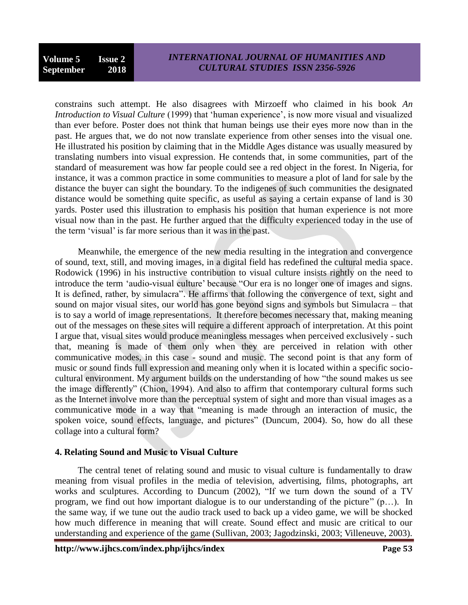constrains such attempt. He also disagrees with Mirzoeff who claimed in his book *An Introduction to Visual Culture* (1999) that "human experience", is now more visual and visualized than ever before. Poster does not think that human beings use their eyes more now than in the past. He argues that, we do not now translate experience from other senses into the visual one. He illustrated his position by claiming that in the Middle Ages distance was usually measured by translating numbers into visual expression. He contends that, in some communities, part of the standard of measurement was how far people could see a red object in the forest. In Nigeria, for instance, it was a common practice in some communities to measure a plot of land for sale by the distance the buyer can sight the boundary. To the indigenes of such communities the designated distance would be something quite specific, as useful as saying a certain expanse of land is 30 yards. Poster used this illustration to emphasis his position that human experience is not more visual now than in the past. He further argued that the difficulty experienced today in the use of the term "visual" is far more serious than it was in the past.

 Meanwhile, the emergence of the new media resulting in the integration and convergence of sound, text, still, and moving images, in a digital field has redefined the cultural media space. Rodowick (1996) in his instructive contribution to visual culture insists rightly on the need to introduce the term "audio-visual culture" because "Our era is no longer one of images and signs. It is defined, rather, by simulacra". He affirms that following the convergence of text, sight and sound on major visual sites, our world has gone beyond signs and symbols but Simulacra – that is to say a world of image representations. It therefore becomes necessary that, making meaning out of the messages on these sites will require a different approach of interpretation. At this point I argue that, visual sites would produce meaningless messages when perceived exclusively - such that, meaning is made of them only when they are perceived in relation with other communicative modes, in this case - sound and music. The second point is that any form of music or sound finds full expression and meaning only when it is located within a specific sociocultural environment. My argument builds on the understanding of how "the sound makes us see the image differently" (Chion, 1994). And also to affirm that contemporary cultural forms such as the Internet involve more than the perceptual system of sight and more than visual images as a communicative mode in a way that "meaning is made through an interaction of music, the spoken voice, sound effects, language, and pictures" (Duncum, 2004). So, how do all these collage into a cultural form?

# **4. Relating Sound and Music to Visual Culture**

 The central tenet of relating sound and music to visual culture is fundamentally to draw meaning from visual profiles in the media of television, advertising, films, photographs, art works and sculptures. According to Duncum (2002), "If we turn down the sound of a TV program, we find out how important dialogue is to our understanding of the picture" (p…). In the same way, if we tune out the audio track used to back up a video game, we will be shocked how much difference in meaning that will create. Sound effect and music are critical to our understanding and experience of the game (Sullivan, 2003; Jagodzinski, 2003; Villeneuve, 2003).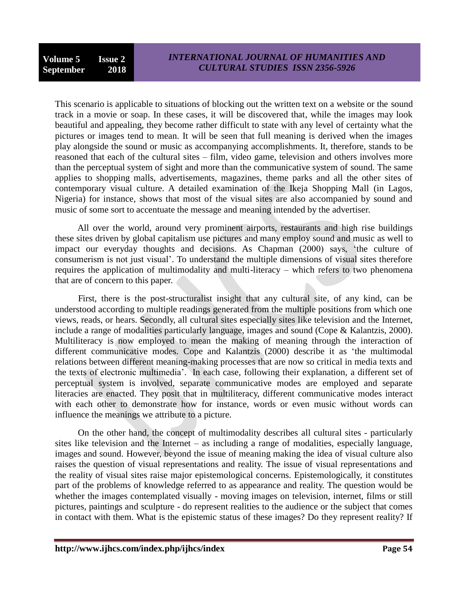This scenario is applicable to situations of blocking out the written text on a website or the sound track in a movie or soap. In these cases, it will be discovered that, while the images may look beautiful and appealing, they become rather difficult to state with any level of certainty what the pictures or images tend to mean. It will be seen that full meaning is derived when the images play alongside the sound or music as accompanying accomplishments. It, therefore, stands to be reasoned that each of the cultural sites – film, video game, television and others involves more than the perceptual system of sight and more than the communicative system of sound. The same applies to shopping malls, advertisements, magazines, theme parks and all the other sites of contemporary visual culture. A detailed examination of the Ikeja Shopping Mall (in Lagos, Nigeria) for instance, shows that most of the visual sites are also accompanied by sound and music of some sort to accentuate the message and meaning intended by the advertiser.

 All over the world, around very prominent airports, restaurants and high rise buildings these sites driven by global capitalism use pictures and many employ sound and music as well to impact our everyday thoughts and decisions. As Chapman (2000) says, "the culture of consumerism is not just visual". To understand the multiple dimensions of visual sites therefore requires the application of multimodality and multi-literacy – which refers to two phenomena that are of concern to this paper.

 First, there is the post-structuralist insight that any cultural site, of any kind, can be understood according to multiple readings generated from the multiple positions from which one views, reads, or hears. Secondly, all cultural sites especially sites like television and the Internet, include a range of modalities particularly language, images and sound (Cope & Kalantzis, 2000). Multiliteracy is now employed to mean the making of meaning through the interaction of different communicative modes. Cope and Kalantzis (2000) describe it as "the multimodal relations between different meaning-making processes that are now so critical in media texts and the texts of electronic multimedia". In each case, following their explanation, a different set of perceptual system is involved, separate communicative modes are employed and separate literacies are enacted. They posit that in multiliteracy, different communicative modes interact with each other to demonstrate how for instance, words or even music without words can influence the meanings we attribute to a picture.

 On the other hand, the concept of multimodality describes all cultural sites - particularly sites like television and the Internet – as including a range of modalities, especially language, images and sound. However, beyond the issue of meaning making the idea of visual culture also raises the question of visual representations and reality. The issue of visual representations and the reality of visual sites raise major epistemological concerns. Epistemologically, it constitutes part of the problems of knowledge referred to as appearance and reality. The question would be whether the images contemplated visually - moving images on television, internet, films or still pictures, paintings and sculpture - do represent realities to the audience or the subject that comes in contact with them. What is the epistemic status of these images? Do they represent reality? If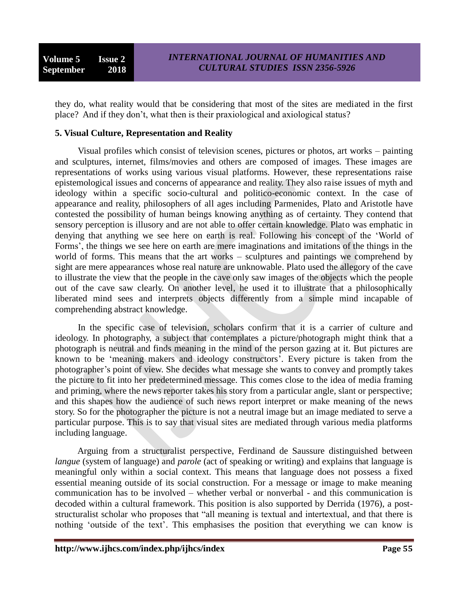they do, what reality would that be considering that most of the sites are mediated in the first place? And if they don"t, what then is their praxiological and axiological status?

#### **5. Visual Culture, Representation and Reality**

 Visual profiles which consist of television scenes, pictures or photos, art works – painting and sculptures, internet, films/movies and others are composed of images. These images are representations of works using various visual platforms. However, these representations raise epistemological issues and concerns of appearance and reality. They also raise issues of myth and ideology within a specific socio-cultural and politico-economic context. In the case of appearance and reality, philosophers of all ages including Parmenides, Plato and Aristotle have contested the possibility of human beings knowing anything as of certainty. They contend that sensory perception is illusory and are not able to offer certain knowledge. Plato was emphatic in denying that anything we see here on earth is real. Following his concept of the "World of Forms", the things we see here on earth are mere imaginations and imitations of the things in the world of forms. This means that the art works – sculptures and paintings we comprehend by sight are mere appearances whose real nature are unknowable. Plato used the allegory of the cave to illustrate the view that the people in the cave only saw images of the objects which the people out of the cave saw clearly. On another level, he used it to illustrate that a philosophically liberated mind sees and interprets objects differently from a simple mind incapable of comprehending abstract knowledge.

 In the specific case of television, scholars confirm that it is a carrier of culture and ideology. In photography, a subject that contemplates a picture/photograph might think that a photograph is neutral and finds meaning in the mind of the person gazing at it. But pictures are known to be 'meaning makers and ideology constructors'. Every picture is taken from the photographer"s point of view. She decides what message she wants to convey and promptly takes the picture to fit into her predetermined message. This comes close to the idea of media framing and priming, where the news reporter takes his story from a particular angle, slant or perspective; and this shapes how the audience of such news report interpret or make meaning of the news story. So for the photographer the picture is not a neutral image but an image mediated to serve a particular purpose. This is to say that visual sites are mediated through various media platforms including language.

 Arguing from a structuralist perspective, Ferdinand de Saussure distinguished between *langue* (system of language) and *parole* (act of speaking or writing) and explains that language is meaningful only within a social context. This means that language does not possess a fixed essential meaning outside of its social construction. For a message or image to make meaning communication has to be involved – whether verbal or nonverbal - and this communication is decoded within a cultural framework. This position is also supported by Derrida (1976), a poststructuralist scholar who proposes that "all meaning is textual and intertextual, and that there is nothing 'outside of the text'. This emphasises the position that everything we can know is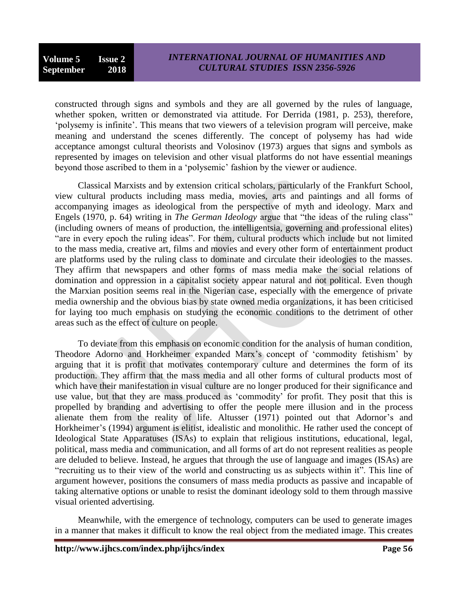constructed through signs and symbols and they are all governed by the rules of language, whether spoken, written or demonstrated via attitude. For Derrida (1981, p. 253), therefore, "polysemy is infinite". This means that two viewers of a television program will perceive, make meaning and understand the scenes differently. The concept of polysemy has had wide acceptance amongst cultural theorists and Volosinov (1973) argues that signs and symbols as represented by images on television and other visual platforms do not have essential meanings beyond those ascribed to them in a "polysemic" fashion by the viewer or audience.

 Classical Marxists and by extension critical scholars, particularly of the Frankfurt School, view cultural products including mass media, movies, arts and paintings and all forms of accompanying images as ideological from the perspective of myth and ideology. Marx and Engels (1970, p. 64) writing in *The German Ideology* argue that "the ideas of the ruling class" (including owners of means of production, the intelligentsia, governing and professional elites) "are in every epoch the ruling ideas". For them, cultural products which include but not limited to the mass media, creative art, films and movies and every other form of entertainment product are platforms used by the ruling class to dominate and circulate their ideologies to the masses. They affirm that newspapers and other forms of mass media make the social relations of domination and oppression in a capitalist society appear natural and not political. Even though the Marxian position seems real in the Nigerian case, especially with the emergence of private media ownership and the obvious bias by state owned media organizations, it has been criticised for laying too much emphasis on studying the economic conditions to the detriment of other areas such as the effect of culture on people.

 To deviate from this emphasis on economic condition for the analysis of human condition, Theodore Adorno and Horkheimer expanded Marx"s concept of "commodity fetishism" by arguing that it is profit that motivates contemporary culture and determines the form of its production. They affirm that the mass media and all other forms of cultural products most of which have their manifestation in visual culture are no longer produced for their significance and use value, but that they are mass produced as "commodity" for profit. They posit that this is propelled by branding and advertising to offer the people mere illusion and in the process alienate them from the reality of life. Altusser (1971) pointed out that Adornor's and Horkheimer's (1994) argument is elitist, idealistic and monolithic. He rather used the concept of Ideological State Apparatuses (ISAs) to explain that religious institutions, educational, legal, political, mass media and communication, and all forms of art do not represent realities as people are deluded to believe. Instead, he argues that through the use of language and images (ISAs) are "recruiting us to their view of the world and constructing us as subjects within it". This line of argument however, positions the consumers of mass media products as passive and incapable of taking alternative options or unable to resist the dominant ideology sold to them through massive visual oriented advertising.

 Meanwhile, with the emergence of technology, computers can be used to generate images in a manner that makes it difficult to know the real object from the mediated image. This creates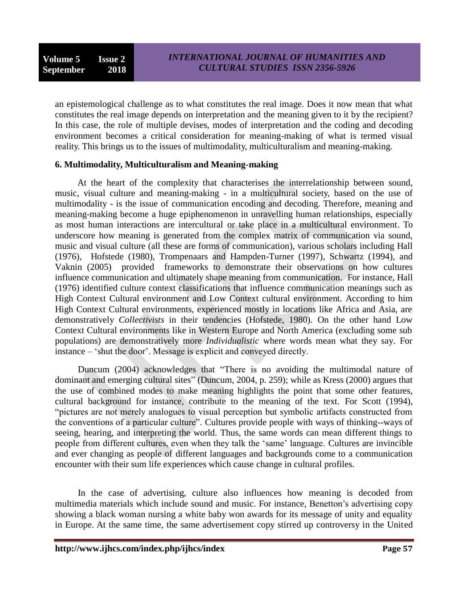an epistemological challenge as to what constitutes the real image. Does it now mean that what constitutes the real image depends on interpretation and the meaning given to it by the recipient? In this case, the role of multiple devises, modes of interpretation and the coding and decoding environment becomes a critical consideration for meaning-making of what is termed visual reality. This brings us to the issues of multimodality, multiculturalism and meaning-making.

# **6. Multimodality, Multiculturalism and Meaning-making**

 At the heart of the complexity that characterises the interrelationship between sound, music, visual culture and meaning-making - in a multicultural society, based on the use of multimodality - is the issue of communication encoding and decoding. Therefore, meaning and meaning-making become a huge epiphenomenon in unravelling human relationships, especially as most human interactions are intercultural or take place in a multicultural environment. To underscore how meaning is generated from the complex matrix of communication via sound, music and visual culture (all these are forms of communication), various scholars including Hall (1976), Hofstede (1980), Trompenaars and Hampden-Turner (1997), Schwartz (1994), and Vaknin (2005) provided frameworks to demonstrate their observations on how cultures influence communication and ultimately shape meaning from communication. For instance, Hall (1976) identified culture context classifications that influence communication meanings such as High Context Cultural environment and Low Context cultural environment. According to him High Context Cultural environments, experienced mostly in locations like Africa and Asia, are demonstratively *Collectivists* in their tendencies (Hofstede, 1980). On the other hand Low Context Cultural environments like in Western Europe and North America (excluding some sub populations) are demonstratively more *Individualistic* where words mean what they say. For instance – "shut the door". Message is explicit and conveyed directly.

 Duncum (2004) acknowledges that "There is no avoiding the multimodal nature of dominant and emerging cultural sites" (Duncum, 2004, p. 259); while as Kress (2000) argues that the use of combined modes to make meaning highlights the point that some other features, cultural background for instance, contribute to the meaning of the text. For Scott (1994), "pictures are not merely analogues to visual perception but symbolic artifacts constructed from the conventions of a particular culture". Cultures provide people with ways of thinking--ways of seeing, hearing, and interpreting the world. Thus, the same words can mean different things to people from different cultures, even when they talk the "same" language. Cultures are invincible and ever changing as people of different languages and backgrounds come to a communication encounter with their sum life experiences which cause change in cultural profiles.

 In the case of advertising, culture also influences how meaning is decoded from multimedia materials which include sound and music. For instance, Benetton"s advertising copy showing a black woman nursing a white baby won awards for its message of unity and equality in Europe. At the same time, the same advertisement copy stirred up controversy in the United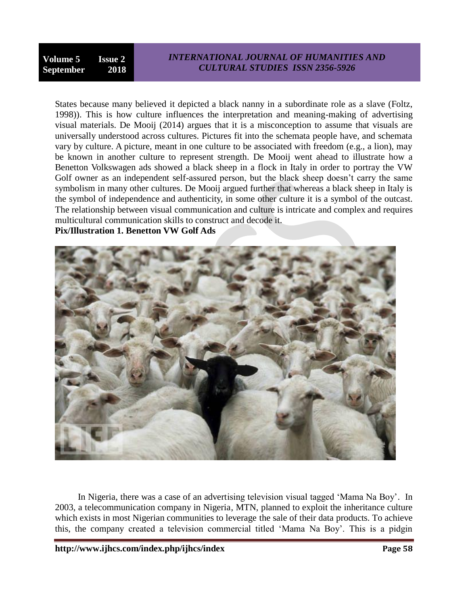States because many believed it depicted a black nanny in a subordinate role as a slave (Foltz, 1998)). This is how culture influences the interpretation and meaning-making of advertising visual materials. De Mooij (2014) argues that it is a misconception to assume that visuals are universally understood across cultures. Pictures fit into the schemata people have, and schemata vary by culture. A picture, meant in one culture to be associated with freedom (e.g., a lion), may be known in another culture to represent strength. De Mooij went ahead to illustrate how a Benetton Volkswagen ads showed a black sheep in a flock in Italy in order to portray the VW Golf owner as an independent self-assured person, but the black sheep doesn't carry the same symbolism in many other cultures. De Mooij argued further that whereas a black sheep in Italy is the symbol of independence and authenticity, in some other culture it is a symbol of the outcast. The relationship between visual communication and culture is intricate and complex and requires multicultural communication skills to construct and decode it.

# **Pix/Illustration 1. Benetton VW Golf Ads**



 In Nigeria, there was a case of an advertising television visual tagged "Mama Na Boy". In 2003, a telecommunication company in Nigeria, MTN, planned to exploit the inheritance culture which exists in most Nigerian communities to leverage the sale of their data products. To achieve this, the company created a television commercial titled "Mama Na Boy". This is a pidgin

**http://www.ijhcs.com/index.php/ijhcs/index Page 58**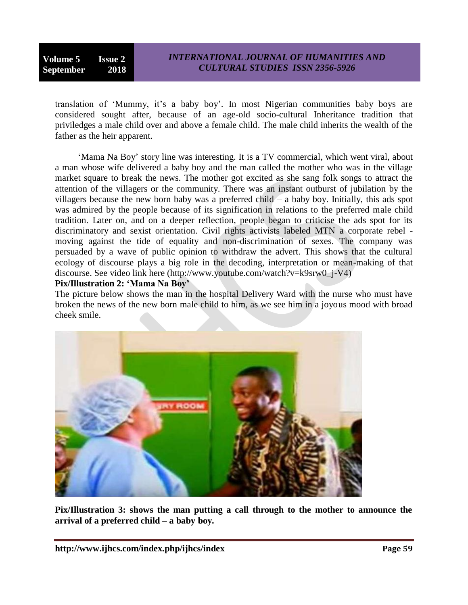translation of 'Mummy, it's a baby boy'. In most Nigerian communities baby boys are considered sought after, because of an age-old socio-cultural Inheritance tradition that priviledges a male child over and above a female child. The male child inherits the wealth of the father as the heir apparent.

 "Mama Na Boy" story line was interesting. It is a TV commercial, which went viral, about a man whose wife delivered a baby boy and the man called the mother who was in the village market square to break the news. The mother got excited as she sang folk songs to attract the attention of the villagers or the community. There was an instant outburst of jubilation by the villagers because the new born baby was a preferred child – a baby boy. Initially, this ads spot was admired by the people because of its signification in relations to the preferred male child tradition. Later on, and on a deeper reflection, people began to criticise the ads spot for its discriminatory and sexist orientation. Civil rights activists labeled MTN a corporate rebel moving against the tide of equality and non-discrimination of sexes. The company was persuaded by a wave of public opinion to withdraw the advert. This shows that the cultural ecology of discourse plays a big role in the decoding, interpretation or mean-making of that discourse. See video link here (http://www.youtube.com/watch?v=k9srw0\_j-V4)

**Pix/Illustration 2: 'Mama Na Boy'**

The picture below shows the man in the hospital Delivery Ward with the nurse who must have broken the news of the new born male child to him, as we see him in a joyous mood with broad cheek smile.



**Pix/Illustration 3: shows the man putting a call through to the mother to announce the arrival of a preferred child – a baby boy.**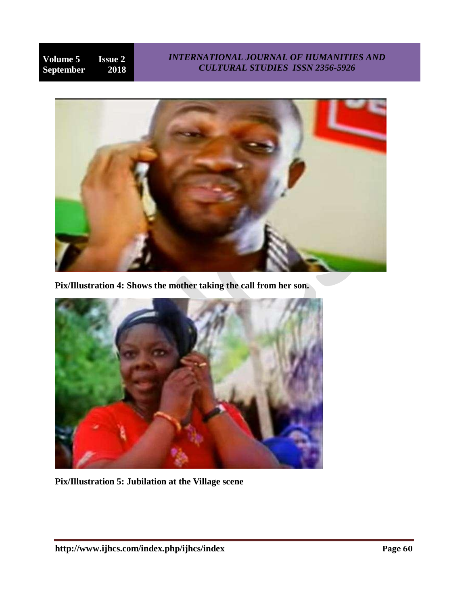# *INTERNATIONAL JOURNAL OF HUMANITIES AND CULTURAL STUDIES ISSN 2356-5926*



**Pix/Illustration 4: Shows the mother taking the call from her son.**



**Pix/Illustration 5: Jubilation at the Village scene**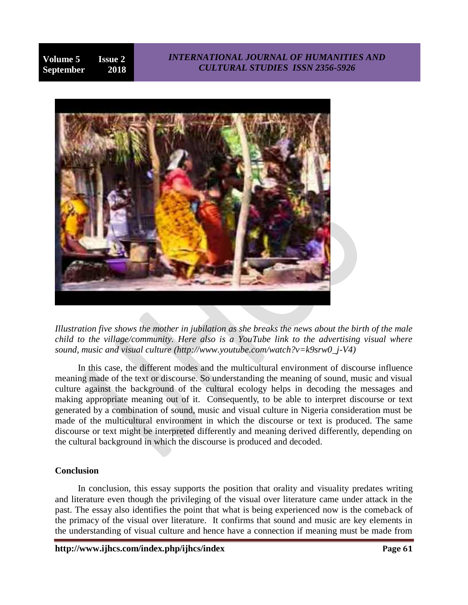# *INTERNATIONAL JOURNAL OF HUMANITIES AND CULTURAL STUDIES ISSN 2356-5926*



*Illustration five shows the mother in jubilation as she breaks the news about the birth of the male child to the village/community. Here also is a YouTube link to the advertising visual where sound, music and visual culture (http://www.youtube.com/watch?v=k9srw0\_j-V4)*

 In this case, the different modes and the multicultural environment of discourse influence meaning made of the text or discourse. So understanding the meaning of sound, music and visual culture against the background of the cultural ecology helps in decoding the messages and making appropriate meaning out of it. Consequently, to be able to interpret discourse or text generated by a combination of sound, music and visual culture in Nigeria consideration must be made of the multicultural environment in which the discourse or text is produced. The same discourse or text might be interpreted differently and meaning derived differently, depending on the cultural background in which the discourse is produced and decoded.

# **Conclusion**

 In conclusion, this essay supports the position that orality and visuality predates writing and literature even though the privileging of the visual over literature came under attack in the past. The essay also identifies the point that what is being experienced now is the comeback of the primacy of the visual over literature. It confirms that sound and music are key elements in the understanding of visual culture and hence have a connection if meaning must be made from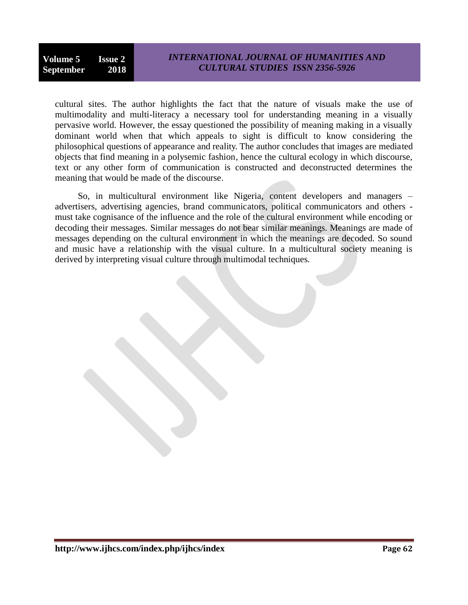cultural sites. The author highlights the fact that the nature of visuals make the use of multimodality and multi-literacy a necessary tool for understanding meaning in a visually pervasive world. However, the essay questioned the possibility of meaning making in a visually dominant world when that which appeals to sight is difficult to know considering the philosophical questions of appearance and reality. The author concludes that images are mediated objects that find meaning in a polysemic fashion, hence the cultural ecology in which discourse, text or any other form of communication is constructed and deconstructed determines the meaning that would be made of the discourse.

 So, in multicultural environment like Nigeria, content developers and managers – advertisers, advertising agencies, brand communicators, political communicators and others must take cognisance of the influence and the role of the cultural environment while encoding or decoding their messages. Similar messages do not bear similar meanings. Meanings are made of messages depending on the cultural environment in which the meanings are decoded. So sound and music have a relationship with the visual culture. In a multicultural society meaning is derived by interpreting visual culture through multimodal techniques.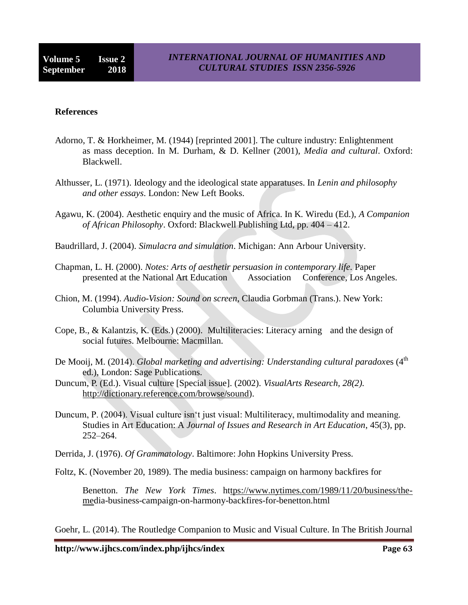#### **References**

- Adorno, T. & Horkheimer, M. (1944) [reprinted 2001]. The culture industry: Enlightenment as mass deception. In M. Durham, & D. Kellner (2001), *Media and cultural*. Oxford: Blackwell.
- Althusser, L. (1971). Ideology and the ideological state apparatuses. In *Lenin and philosophy and other essays*. London: New Left Books.
- Agawu, K. (2004). Aesthetic enquiry and the music of Africa. In K. Wiredu (Ed.), *A Companion of African Philosophy*. Oxford: Blackwell Publishing Ltd, pp. 404 – 412.
- Baudrillard, J. (2004). *Simulacra and simulation*. Michigan: Ann Arbour University.
- Chapman, L. H. (2000). *Notes: Arts of aesthetir persuasion in contemporary life.* Paper presented at the National Art Education Association Conference, Los Angeles.
- Chion, M. (1994). *Audio-Vision: Sound on screen*, Claudia Gorbman (Trans.). New York: Columbia University Press.
- Cope, B., & Kalantzis, K. (Eds.) (2000). Multiliteracies: Literacy arning and the design of social futures. Melbourne: Macmillan.
- De Mooij, M. (2014). *Global marketing and advertising: Understanding cultural paradoxes* (4<sup>th</sup> ed.), London: Sage Publications.
- Duncum, P. (Ed.). Visual culture [Special issue]. (2002). *VisualArts Research, 28(2).* [http://dictionary.reference.com/browse/sound\)](http://dictionary.reference.com/browse/sound).
- Duncum, P. (2004). Visual culture isn"t just visual: Multiliteracy, multimodality and meaning. Studies in Art Education: A *Journal of Issues and Research in Art Education*, 45(3), pp. 252–264.
- Derrida, J. (1976). *Of Grammatology*. Baltimore: John Hopkins University Press.
- Foltz, K. (November 20, 1989). The media business: campaign on harmony backfires for

Benetton. *The New York Times*. h[ttps://www.nytimes.com/1989/11/20/business/the](tps://www.nytimes.com/1989/11/20/business/the-me)[med](tps://www.nytimes.com/1989/11/20/business/the-me)ia-business-campaign-on-harmony-backfires-for-benetton.html

Goehr, L. (2014). The Routledge Companion to Music and Visual Culture. In The British Journal

**http://www.ijhcs.com/index.php/ijhcs/index Page 63**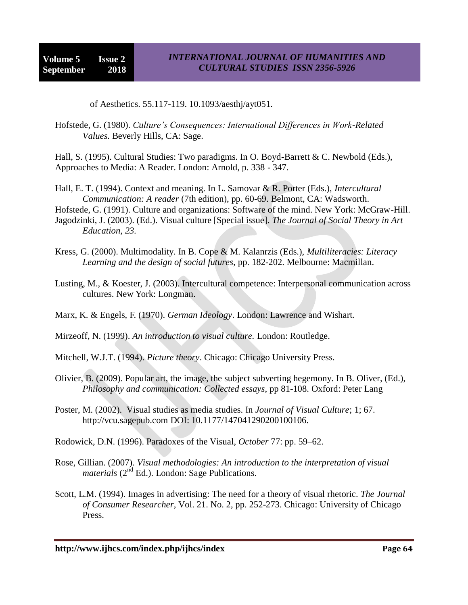of Aesthetics. 55.117-119. 10.1093/aesthj/ayt051.

Hofstede, G. (1980). *Culture's Consequences: International Differences in Work-Related Values.* Beverly Hills, CA: Sage.

Hall, S. (1995). Cultural Studies: Two paradigms. In O. Boyd-Barrett & C. Newbold (Eds.), Approaches to Media: A Reader. London: Arnold, p. 338 - 347.

Hall, E. T. (1994). Context and meaning. In L. Samovar & R. Porter (Eds.), *Intercultural Communication: A reader* (7th edition), pp. 60-69. Belmont, CA: Wadsworth.

Hofstede, G. (1991). Culture and organizations: Software of the mind. New York: McGraw-Hill. Jagodzinki, J. (2003). (Ed.). Visual culture [Special issue]. *The Journal of Social Theory in Art Education, 23.*

- Kress, G. (2000). Multimodality. In B. Cope & M. Kalanrzis (Eds.), *Multiliteracies: Literacy Learning and the design of social futures,* pp. 182-202. Melbourne: Macmillan.
- Lusting, M., & Koester, J. (2003). Intercultural competence: Interpersonal communication across cultures. New York: Longman.

Marx, K. & Engels, F. (1970). *German Ideology*. London: Lawrence and Wishart.

Mirzeoff, N. (1999). *An introduction to visual culture.* London: Routledge.

Mitchell, W.J.T. (1994). *Picture theory*. Chicago: Chicago University Press.

- Olivier, B. (2009). Popular art, the image, the subject subverting hegemony. In B. Oliver, (Ed.), *Philosophy and communication: Collected essays*, pp 81-108. Oxford: Peter Lang
- Poster, M. (2002). Visual studies as media studies. In *Journal of Visual Culture*; 1; 67. [http://vcu.sagepub.com](http://vcu.sagepub.com/) DOI: 10.1177/147041290200100106.
- Rodowick, D.N. (1996). Paradoxes of the Visual, *October* 77: pp. 59–62.
- Rose, Gillian. (2007). *Visual methodologies: An introduction to the interpretation of visual materials* (2<sup>nd</sup> Ed.). London: Sage Publications.
- Scott, L.M. (1994). Images in advertising: The need for a theory of visual rhetoric. *The Journal of Consumer Researcher*, Vol. 21. No. 2, pp. 252-273. Chicago: University of Chicago Press.